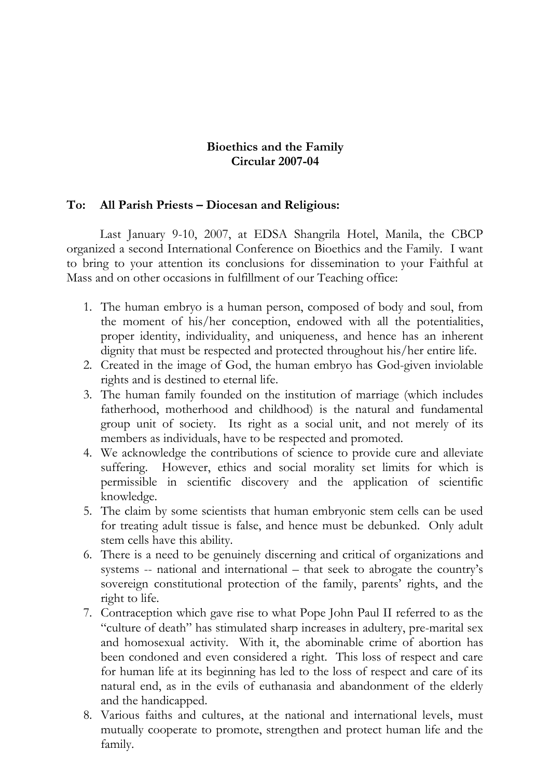## **Bioethics and the Family Circular 2007-04**

## **To: All Parish Priests – Diocesan and Religious:**

Last January 9-10, 2007, at EDSA Shangrila Hotel, Manila, the CBCP organized a second International Conference on Bioethics and the Family. I want to bring to your attention its conclusions for dissemination to your Faithful at Mass and on other occasions in fulfillment of our Teaching office:

- 1. The human embryo is a human person, composed of body and soul, from the moment of his/her conception, endowed with all the potentialities, proper identity, individuality, and uniqueness, and hence has an inherent dignity that must be respected and protected throughout his/her entire life.
- 2. Created in the image of God, the human embryo has God-given inviolable rights and is destined to eternal life.
- 3. The human family founded on the institution of marriage (which includes fatherhood, motherhood and childhood) is the natural and fundamental group unit of society. Its right as a social unit, and not merely of its members as individuals, have to be respected and promoted.
- 4. We acknowledge the contributions of science to provide cure and alleviate suffering. However, ethics and social morality set limits for which is permissible in scientific discovery and the application of scientific knowledge.
- 5. The claim by some scientists that human embryonic stem cells can be used for treating adult tissue is false, and hence must be debunked. Only adult stem cells have this ability.
- 6. There is a need to be genuinely discerning and critical of organizations and systems -- national and international – that seek to abrogate the country's sovereign constitutional protection of the family, parents' rights, and the right to life.
- 7. Contraception which gave rise to what Pope John Paul II referred to as the "culture of death" has stimulated sharp increases in adultery, pre-marital sex and homosexual activity. With it, the abominable crime of abortion has been condoned and even considered a right. This loss of respect and care for human life at its beginning has led to the loss of respect and care of its natural end, as in the evils of euthanasia and abandonment of the elderly and the handicapped.
- 8. Various faiths and cultures, at the national and international levels, must mutually cooperate to promote, strengthen and protect human life and the family.